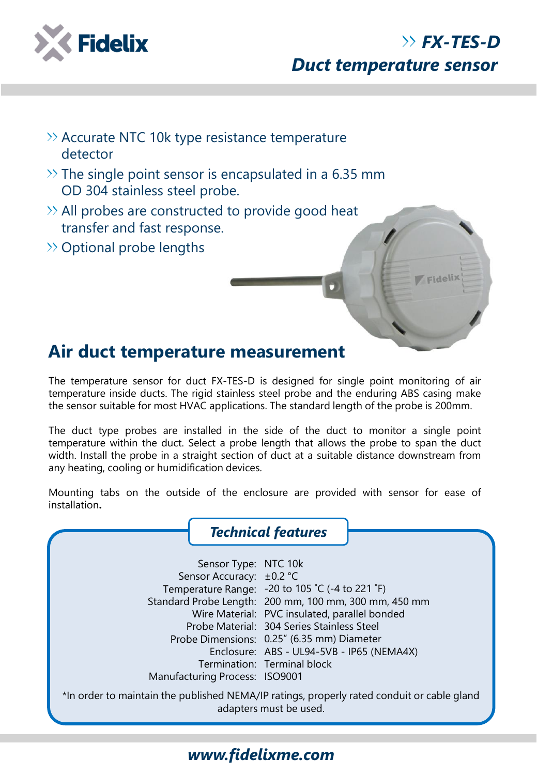

Fidelix

- $\gg$  Accurate NTC 10k type resistance temperature detector
- $\gg$  The single point sensor is encapsulated in a 6.35 mm OD 304 stainless steel probe.
- $\gg$  All probes are constructed to provide good heat transfer and fast response.
- >> Optional probe lengths

## **Air duct temperature measurement**

The temperature sensor for duct FX-TES-D is designed for single point monitoring of air temperature inside ducts. The rigid stainless steel probe and the enduring ABS casing make the sensor suitable for most HVAC applications. The standard length of the probe is 200mm.

The duct type probes are installed in the side of the duct to monitor a single point temperature within the duct. Select a probe length that allows the probe to span the duct width. Install the probe in a straight section of duct at a suitable distance downstream from any heating, cooling or humidification devices.

Mounting tabs on the outside of the enclosure are provided with sensor for ease of installation**.**

|                                                                                                                      | <b>Technical features</b>                                                                                                                                                                                                                                                                                                         |  |  |  |  |  |
|----------------------------------------------------------------------------------------------------------------------|-----------------------------------------------------------------------------------------------------------------------------------------------------------------------------------------------------------------------------------------------------------------------------------------------------------------------------------|--|--|--|--|--|
| Sensor Type: NTC 10k<br>Sensor Accuracy: ±0.2 °C<br>Manufacturing Process: ISO9001                                   | Temperature Range: -20 to 105 °C (-4 to 221 °F)<br>Standard Probe Length: 200 mm, 100 mm, 300 mm, 450 mm<br>Wire Material: PVC insulated, parallel bonded<br>Probe Material: 304 Series Stainless Steel<br>Probe Dimensions: 0.25" (6.35 mm) Diameter<br>Enclosure: ABS - UL94-5VB - IP65 (NEMA4X)<br>Termination: Terminal block |  |  |  |  |  |
| *In order to maintain the published NEMA/IP ratings, properly rated conduit or cable gland<br>adapters must be used. |                                                                                                                                                                                                                                                                                                                                   |  |  |  |  |  |

## *www.fidelixme.com*